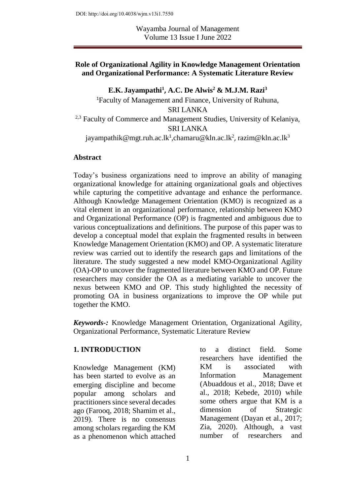DOI: http://doi.org/10.4038/wjm.v13i1.7550

Wayamba Journal of Management Volume 13 Issue I June 2022

#### **Role of Organizational Agility in Knowledge Management Orientation and Organizational Performance: A Systematic Literature Review**

**E.K. Jayampathi<sup>1</sup> , A.C. De Alwis<sup>2</sup> & M.J.M. Razi<sup>3</sup>** <sup>1</sup>Faculty of Management and Finance, University of Ruhuna, SRI LANKA <sup>2,3</sup> Faculty of Commerce and Management Studies, University of Kelaniya, SRI LANKA jayampathik@mgt.ruh.ac.lk<sup>1</sup>[,chamaru@kln.ac.lk](mailto:chamaru@kln.ac.lk2)<sup>2</sup>, razim@kln.ac.lk<sup>3</sup>

#### **Abstract**

Today's business organizations need to improve an ability of managing organizational knowledge for attaining organizational goals and objectives while capturing the competitive advantage and enhance the performance. Although Knowledge Management Orientation (KMO) is recognized as a vital element in an organizational performance, relationship between KMO and Organizational Performance (OP) is fragmented and ambiguous due to various conceptualizations and definitions. The purpose of this paper was to develop a conceptual model that explain the fragmented results in between Knowledge Management Orientation (KMO) and OP. A systematic literature review was carried out to identify the research gaps and limitations of the literature. The study suggested a new model KMO-Organizational Agility (OA)-OP to uncover the fragmented literature between KMO and OP. Future researchers may consider the OA as a mediating variable to uncover the nexus between KMO and OP. This study highlighted the necessity of promoting OA in business organizations to improve the OP while put together the KMO.

*Keywords-:* Knowledge Management Orientation, Organizational Agility, Organizational Performance, Systematic Literature Review

#### **1. INTRODUCTION**

Knowledge Management (KM) has been started to evolve as an emerging discipline and become popular among scholars and practitioners since several decades ago (Farooq, 2018; Shamim et al., 2019). There is no consensus among scholars regarding the KM as a phenomenon which attached

to a distinct field. Some researchers have identified the KM is associated with Information Management (Abuaddous et al., 2018; Dave et al., 2018; Kebede, 2010) while some others argue that KM is a dimension of Strategic Management (Dayan et al., 2017; Zia, 2020). Although, a vast number of researchers and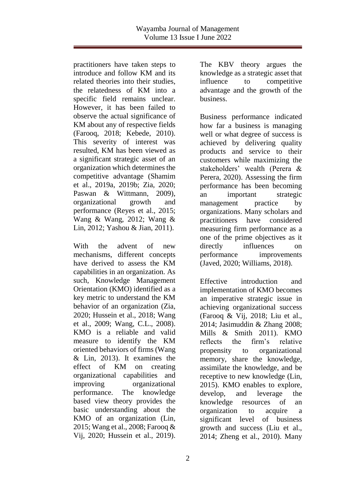practitioners have taken steps to introduce and follow KM and its related theories into their studies, the relatedness of KM into a specific field remains unclear. However, it has been failed to observe the actual significance of KM about any of respective fields (Farooq, 2018; Kebede, 2010). This severity of interest was resulted, KM has been viewed as a significant strategic asset of an organization which determines the competitive advantage (Shamim et al., 2019a, 2019b; Zia, 2020; Paswan & Wittmann, 2009), organizational growth and performance (Reyes et al., 2015; Wang & Wang, 2012; Wang & Lin, 2012; Yashou & Jian, 2011).

With the advent of new mechanisms, different concepts have derived to assess the KM capabilities in an organization. As such, Knowledge Management Orientation (KMO) identified as a key metric to understand the KM behavior of an organization (Zia, 2020; Hussein et al., 2018; Wang et al., 2009; Wang, C.L., 2008). KMO is a reliable and valid measure to identify the KM oriented behaviors of firms (Wang & Lin, 2013). It examines the effect of KM on creating organizational capabilities and improving organizational performance. The knowledge based view theory provides the basic understanding about the KMO of an organization (Lin, 2015; Wang et al., 2008; Farooq & Vij, 2020; Hussein et al., 2019).

The KBV theory argues the knowledge as a strategic asset that influence to competitive advantage and the growth of the business.

Business performance indicated how far a business is managing well or what degree of success is achieved by delivering quality products and service to their customers while maximizing the stakeholders' wealth (Perera & Perera, 2020). Assessing the firm performance has been becoming an important strategic management practice by organizations. Many scholars and practitioners have considered measuring firm performance as a one of the prime objectives as it directly influences on performance improvements (Javed, 2020; Williams, 2018).

Effective introduction and implementation of KMO becomes an imperative strategic issue in achieving organizational success (Farooq & Vij, 2018; Liu et al., 2014; Jasimuddin & Zhang 2008; Mills & Smith 2011). KMO reflects the firm's relative propensity to organizational memory, share the knowledge, assimilate the knowledge, and be receptive to new knowledge (Lin, 2015). KMO enables to explore, develop, and leverage the knowledge resources of an organization to acquire a significant level of business growth and success (Liu et al., 2014; Zheng et al., 2010). Many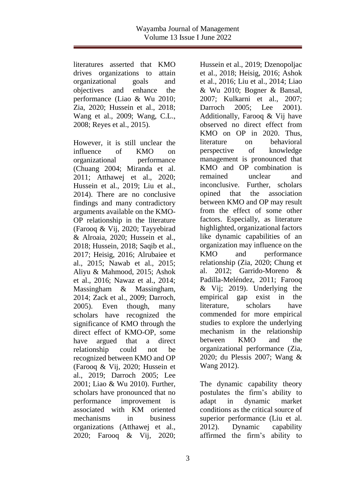literatures asserted that KMO drives organizations to attain organizational goals and objectives and enhance the performance (Liao & Wu 2010; Zia, 2020; Hussein et al., 2018; Wang et al., 2009; Wang, C.L., 2008; Reyes et al., 2015).

However, it is still unclear the influence of KMO on organizational performance (Chuang 2004; Miranda et al. 2011; Atthawej et al., 2020; Hussein et al., 2019; Liu et al., 2014). There are no conclusive findings and many contradictory arguments available on the KMO-OP relationship in the literature (Farooq & Vij, 2020; Tayyebirad & Alroaia, 2020; Hussein et al., 2018; Hussein, 2018; Saqib et al., 2017; Heisig, 2016; Alrubaiee et al., 2015; Nawab et al., 2015; Aliyu & Mahmood, 2015; Ashok et al., 2016; Nawaz et al., 2014; Massingham & Massingham, 2014; Zack et al., 2009; Darroch, 2005). Even though, many scholars have recognized the significance of KMO through the direct effect of KMO-OP, some have argued that a direct relationship could not be recognized between KMO and OP (Farooq & Vij, 2020; Hussein et al., 2019; Darroch 2005; Lee 2001; Liao & Wu 2010). Further, scholars have pronounced that no performance improvement is associated with KM oriented mechanisms in business organizations (Atthawej et al., 2020; Farooq & Vij, 2020;

Hussein et al., 2019; Dzenopoljac et al., 2018; Heisig, 2016; Ashok et al., 2016; Liu et al., 2014; Liao & Wu 2010; Bogner & Bansal, 2007; Kulkarni et al., 2007; Darroch 2005; Lee 2001). Additionally, Farooq & Vij have observed no direct effect from KMO on OP in 2020. Thus, literature on behavioral perspective of knowledge management is pronounced that KMO and OP combination is remained unclear and inconclusive. Further, scholars opined that the association between KMO and OP may result from the effect of some other factors. Especially, as literature highlighted, organizational factors like dynamic capabilities of an organization may influence on the KMO and performance relationship (Zia, 2020; Chung et al. 2012; Garrido-Moreno & Padilla-Meléndez, 2011; Farooq & Vij; 2019). Underlying the empirical gap exist in the literature, scholars have commended for more empirical studies to explore the underlying mechanism in the relationship between KMO and the organizational performance (Zia, 2020; du Plessis 2007; Wang & Wang 2012).

The dynamic capability theory postulates the firm's ability to adapt in dynamic market conditions as the critical source of superior performance (Liu et al. 2012). Dynamic capability affirmed the firm's ability to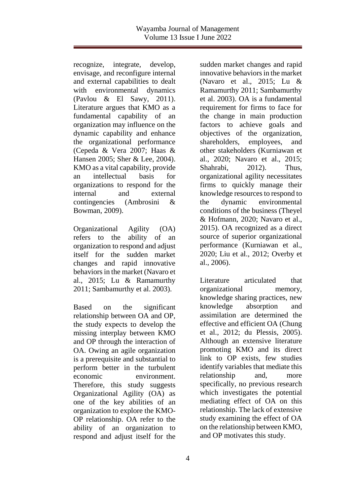recognize, integrate, develop, envisage, and reconfigure internal and external capabilities to dealt with environmental dynamics (Pavlou & El Sawy, 2011). Literature argues that KMO as a fundamental capability of an organization may influence on the dynamic capability and enhance the organizational performance (Cepeda & Vera 2007; Haas & Hansen 2005; Sher & Lee, 2004). KMO as a vital capability, provide an intellectual basis for organizations to respond for the internal and external contingencies (Ambrosini & Bowman, 2009).

Organizational Agility (OA) refers to the ability of an organization to respond and adjust itself for the sudden market changes and rapid innovative behaviors in the market (Navaro et al., 2015; Lu & Ramamurthy 2011; Sambamurthy et al. 2003).

Based on the significant relationship between OA and OP, the study expects to develop the missing interplay between KMO and OP through the interaction of OA. Owing an agile organization is a prerequisite and substantial to perform better in the turbulent economic environment. Therefore, this study suggests Organizational Agility (OA) as one of the key abilities of an organization to explore the KMO-OP relationship. OA refer to the ability of an organization to respond and adjust itself for the sudden market changes and rapid innovative behaviors in the market (Navaro et al., 2015; Lu & Ramamurthy 2011; Sambamurthy et al. 2003). OA is a fundamental requirement for firms to face for the change in main production factors to achieve goals and objectives of the organization, shareholders, employees, and other stakeholders (Kurniawan et al., 2020; Navaro et al., 2015; Shahrabi, 2012). Thus, organizational agility necessitates firms to quickly manage their knowledge resources to respond to the dynamic environmental conditions of the business (Theyel & Hofmann, 2020; Navaro et al., 2015). OA recognized as a direct source of superior organizational performance (Kurniawan et al., 2020; Liu et al., 2012; Overby et al., 2006).

Literature articulated that organizational memory, knowledge sharing practices, new knowledge absorption and assimilation are determined the effective and efficient OA (Chung et al., 2012; du Plessis, 2005). Although an extensive literature promoting KMO and its direct link to OP exists, few studies identify variables that mediate this relationship and, more specifically, no previous research which investigates the potential mediating effect of OA on this relationship. The lack of extensive study examining the effect of OA on the relationship between KMO, and OP motivates this study.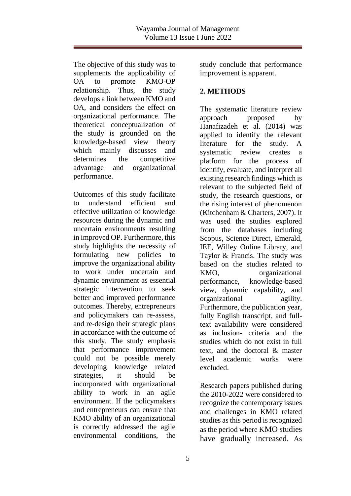The objective of this study was to supplements the applicability of OA to promote KMO-OP relationship. Thus, the study develops a link between KMO and OA, and considers the effect on organizational performance. The theoretical conceptualization of the study is grounded on the knowledge-based view theory which mainly discusses and determines the competitive advantage and organizational performance.

Outcomes of this study facilitate to understand efficient and effective utilization of knowledge resources during the dynamic and uncertain environments resulting in improved OP. Furthermore, this study highlights the necessity of formulating new policies to improve the organizational ability to work under uncertain and dynamic environment as essential strategic intervention to seek better and improved performance outcomes. Thereby, entrepreneurs and policymakers can re-assess, and re-design their strategic plans in accordance with the outcome of this study. The study emphasis that performance improvement could not be possible merely developing knowledge related strategies, it should be incorporated with organizational ability to work in an agile environment. If the policymakers and entrepreneurs can ensure that KMO ability of an organizational is correctly addressed the agile environmental conditions, the

study conclude that performance improvement is apparent.

# **2. METHODS**

The systematic literature review approach proposed by Hanafizadeh et al. (2014) was applied to identify the relevant literature for the study. A systematic review creates a platform for the process of identify, evaluate, and interpret all existing research findings which is relevant to the subjected field of study, the research questions, or the rising interest of phenomenon (Kitchenham & Charters, 2007). It was used the studies explored from the databases including Scopus, Science Direct, Emerald, IEE, Willey Online Library, and Taylor & Francis. The study was based on the studies related to KMO, organizational performance, knowledge-based view, dynamic capability, and organizational agility. Furthermore, the publication year, fully English transcript, and fulltext availability were considered as inclusion- criteria and the studies which do not exist in full text, and the doctoral & master level academic works were excluded.

Research papers published during the 2010-2022 were considered to recognize the contemporary issues and challenges in KMO related studies as this period is recognized as the period where KMO studies have gradually increased. As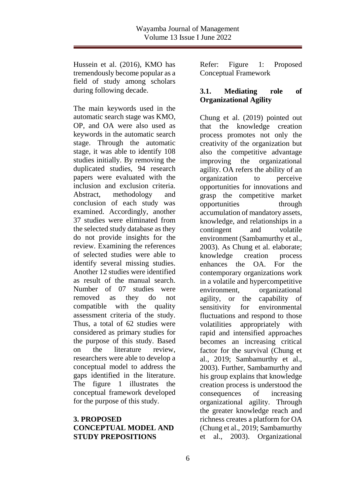Hussein et al. (2016), KMO has tremendously become popular as a field of study among scholars during following decade.

The main keywords used in the automatic search stage was KMO, OP, and OA were also used as keywords in the automatic search stage. Through the automatic stage, it was able to identify 108 studies initially. By removing the duplicated studies, 94 research papers were evaluated with the inclusion and exclusion criteria. Abstract, methodology and conclusion of each study was examined. Accordingly, another 37 studies were eliminated from the selected study database as they do not provide insights for the review. Examining the references of selected studies were able to identify several missing studies. Another 12 studies were identified as result of the manual search. Number of 07 studies were removed as they do not compatible with the quality assessment criteria of the study. Thus, a total of 62 studies were considered as primary studies for the purpose of this study. Based on the literature review, researchers were able to develop a conceptual model to address the gaps identified in the literature. The figure 1 illustrates the conceptual framework developed for the purpose of this study.

### **3. PROPOSED CONCEPTUAL MODEL AND STUDY PREPOSITIONS**

Refer: Figure 1: Proposed Conceptual Framework

# **3.1. Mediating role of Organizational Agility**

Chung et al. (2019) pointed out that the knowledge creation process promotes not only the creativity of the organization but also the competitive advantage improving the organizational agility. OA refers the ability of an organization to perceive opportunities for innovations and grasp the competitive market opportunities through accumulation of mandatory assets, knowledge, and relationships in a contingent and volatile environment (Sambamurthy et al., 2003). As Chung et al. elaborate; knowledge creation process enhances the OA. For the contemporary organizations work in a volatile and hypercompetitive environment, organizational agility, or the capability of sensitivity for environmental fluctuations and respond to those volatilities appropriately with rapid and intensified approaches becomes an increasing critical factor for the survival (Chung et al., 2019; Sambamurthy et al., 2003). Further, Sambamurthy and his group explains that knowledge creation process is understood the consequences of increasing organizational agility. Through the greater knowledge reach and richness creates a platform for OA (Chung et al., 2019; Sambamurthy et al., 2003). Organizational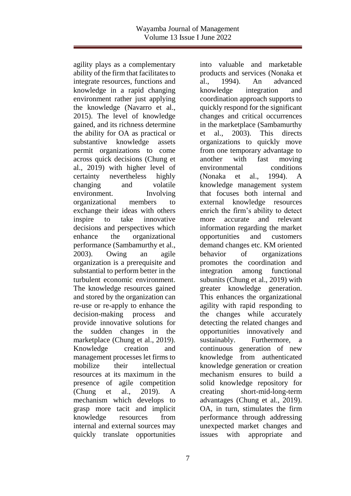agility plays as a complementary ability of the firm that facilitates to integrate resources, functions and knowledge in a rapid changing environment rather just applying the knowledge (Navarro et al., 2015). The level of knowledge gained, and its richness determine the ability for OA as practical or substantive knowledge assets permit organizations to come across quick decisions (Chung et al., 2019) with higher level of certainty nevertheless highly changing and volatile environment. Involving organizational members to exchange their ideas with others inspire to take innovative decisions and perspectives which enhance the organizational performance (Sambamurthy et al., 2003). Owing an agile organization is a prerequisite and substantial to perform better in the turbulent economic environment. The knowledge resources gained and stored by the organization can re-use or re-apply to enhance the decision-making process and provide innovative solutions for the sudden changes in the marketplace (Chung et al., 2019). Knowledge creation and management processes let firms to mobilize their intellectual resources at its maximum in the presence of agile competition (Chung et al., 2019). A mechanism which develops to grasp more tacit and implicit knowledge resources from internal and external sources may quickly translate opportunities

into valuable and marketable products and services (Nonaka et al., 1994). An advanced knowledge integration and coordination approach supports to quickly respond for the significant changes and critical occurrences in the marketplace (Sambamurthy et al., 2003). This directs organizations to quickly move from one temporary advantage to another with fast moving environmental conditions (Nonaka et al., 1994). A knowledge management system that focuses both internal and external knowledge resources enrich the firm's ability to detect more accurate and relevant information regarding the market opportunities and customers demand changes etc. KM oriented behavior of organizations promotes the coordination and integration among functional subunits (Chung et al., 2019) with greater knowledge generation. This enhances the organizational agility with rapid responding to the changes while accurately detecting the related changes and opportunities innovatively and sustainably. Furthermore, a continuous generation of new knowledge from authenticated knowledge generation or creation mechanism ensures to build a solid knowledge repository for creating short-mid-long-term advantages (Chung et al., 2019). OA, in turn, stimulates the firm performance through addressing unexpected market changes and issues with appropriate and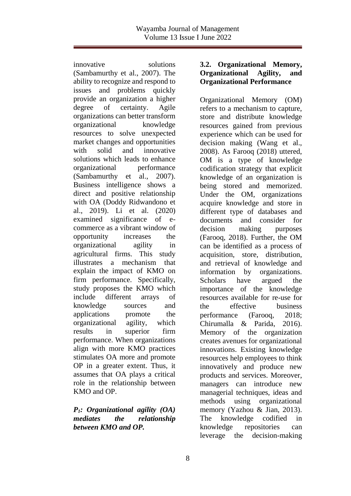innovative solutions (Sambamurthy et al., 2007). The ability to recognize and respond to issues and problems quickly provide an organization a higher degree of certainty. Agile organizations can better transform organizational knowledge resources to solve unexpected market changes and opportunities with solid and innovative solutions which leads to enhance organizational performance (Sambamurthy et al., 2007). Business intelligence shows a direct and positive relationship with OA (Doddy Ridwandono et al., 2019). Li et al. (2020) examined significance of ecommerce as a vibrant window of opportunity increases the organizational agility in agricultural firms. This study illustrates a mechanism that explain the impact of KMO on firm performance. Specifically, study proposes the KMO which include different arrays of knowledge sources and applications promote the organizational agility, which results in superior firm performance. When organizations align with more KMO practices stimulates OA more and promote OP in a greater extent. Thus, it assumes that OA plays a critical role in the relationship between KMO and OP.

## *P1: Organizational agility (OA) mediates the relationship between KMO and OP.*

## **3.2. Organizational Memory, Organizational Agility, and Organizational Performance**

Organizational Memory (OM) refers to a mechanism to capture, store and distribute knowledge resources gained from previous experience which can be used for decision making (Wang et al., 2008). As Farooq (2018) uttered, OM is a type of knowledge codification strategy that explicit knowledge of an organization is being stored and memorized. Under the OM, organizations acquire knowledge and store in different type of databases and documents and consider for decision making purposes (Farooq, 2018). Further, the OM can be identified as a process of acquisition, store, distribution, and retrieval of knowledge and information by organizations. Scholars have argued the importance of the knowledge resources available for re-use for the effective business performance (Farooq, 2018; Chirumalla & Parida, 2016). Memory of the organization creates avenues for organizational innovations. Existing knowledge resources help employees to think innovatively and produce new products and services. Moreover, managers can introduce new managerial techniques, ideas and methods using organizational memory (Yazhou & Jian, 2013). The knowledge codified in knowledge repositories can leverage the decision-making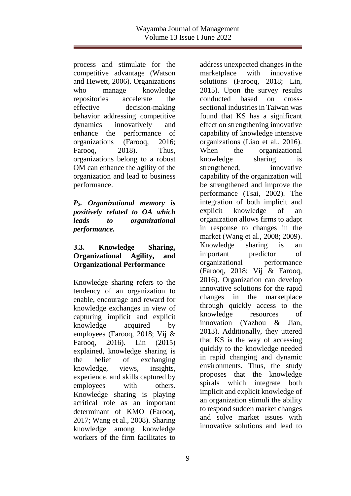process and stimulate for the competitive advantage (Watson and Hewett, 2006). Organizations who manage knowledge repositories accelerate the effective decision-making behavior addressing competitive dynamics innovatively and enhance the performance of organizations (Farooq, 2016; Farooq, 2018). Thus, organizations belong to a robust OM can enhance the agility of the organization and lead to business performance.

*P2. Organizational memory is positively related to OA which leads to organizational performance.*

## **3.3. Knowledge Sharing, Organizational Agility, and Organizational Performance**

Knowledge sharing refers to the tendency of an organization to enable, encourage and reward for knowledge exchanges in view of capturing implicit and explicit knowledge acquired by employees (Farooq, 2018; Vij & Farooq, 2016). Lin (2015) explained, knowledge sharing is the belief of exchanging knowledge, views, insights, experience, and skills captured by employees with others. Knowledge sharing is playing acritical role as an important determinant of KMO (Farooq, 2017; Wang et al., 2008). Sharing knowledge among knowledge workers of the firm facilitates to

address unexpected changes in the marketplace with innovative solutions (Farooq, 2018; Lin, 2015). Upon the survey results conducted based on crosssectional industries in Taiwan was found that KS has a significant effect on strengthening innovative capability of knowledge intensive organizations (Liao et al., 2016). When the organizational knowledge sharing is strengthened, innovative capability of the organization will be strengthened and improve the performance (Tsai, 2002). The integration of both implicit and explicit knowledge of an organization allows firms to adapt in response to changes in the market (Wang et al., 2008; 2009). Knowledge sharing is an important predictor of organizational performance (Farooq, 2018; Vij & Farooq, 2016). Organization can develop innovative solutions for the rapid changes in the marketplace through quickly access to the knowledge resources of innovation (Yazhou & Jian, 2013). Additionally, they uttered that KS is the way of accessing quickly to the knowledge needed in rapid changing and dynamic environments. Thus, the study proposes that the knowledge spirals which integrate both implicit and explicit knowledge of an organization stimuli the ability to respond sudden market changes and solve market issues with innovative solutions and lead to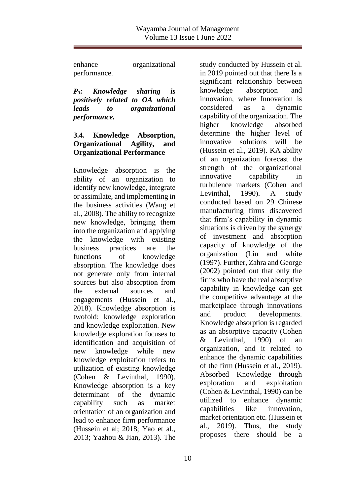enhance organizational performance.

*P3: Knowledge sharing is positively related to OA which leads to organizational performance.*

## **3.4. Knowledge Absorption, Organizational Agility, and Organizational Performance**

Knowledge absorption is the ability of an organization to identify new knowledge, integrate or assimilate, and implementing in the business activities (Wang et al., 2008). The ability to recognize new knowledge, bringing them into the organization and applying the knowledge with existing business practices are the functions of knowledge absorption. The knowledge does not generate only from internal sources but also absorption from the external sources and engagements (Hussein et al., 2018). Knowledge absorption is twofold; knowledge exploration and knowledge exploitation. New knowledge exploration focuses to identification and acquisition of new knowledge while new knowledge exploitation refers to utilization of existing knowledge (Cohen & Levinthal, 1990). Knowledge absorption is a key determinant of the dynamic capability such as market orientation of an organization and lead to enhance firm performance (Hussein et al; 2018; Yao et al., 2013; Yazhou & Jian, 2013). The

study conducted by Hussein et al. in 2019 pointed out that there Is a significant relationship between knowledge absorption and innovation, where Innovation is considered as a dynamic capability of the organization. The higher knowledge absorbed determine the higher level of innovative solutions will be (Hussein et al., 2019). KA ability of an organization forecast the strength of the organizational innovative capability in turbulence markets (Cohen and Levinthal, 1990). A study conducted based on 29 Chinese manufacturing firms discovered that firm's capability in dynamic situations is driven by the synergy of investment and absorption capacity of knowledge of the organization (Liu and white (1997). Further, Zahra and George (2002) pointed out that only the firms who have the real absorptive capability in knowledge can get the competitive advantage at the marketplace through innovations and product developments. Knowledge absorption is regarded as an absorptive capacity (Cohen & Levinthal, 1990) of an organization, and it related to enhance the dynamic capabilities of the firm (Hussein et al., 2019). Absorbed Knowledge through exploration and exploitation (Cohen & Levinthal, 1990) can be utilized to enhance dynamic capabilities like innovation, market orientation etc. (Hussein et al., 2019). Thus, the study proposes there should be a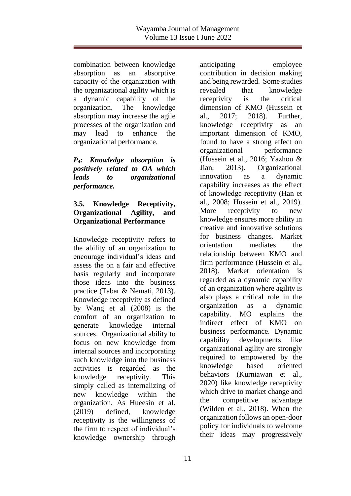combination between knowledge absorption as an absorptive capacity of the organization with the organizational agility which is a dynamic capability of the organization. The knowledge absorption may increase the agile processes of the organization and may lead to enhance the organizational performance.

*P4: Knowledge absorption is positively related to OA which leads to organizational performance.*

# **3.5. Knowledge Receptivity, Organizational Agility, and Organizational Performance**

Knowledge receptivity refers to the ability of an organization to encourage individual's ideas and assess the on a fair and effective basis regularly and incorporate those ideas into the business practice (Tabar & Nemati, 2013). Knowledge receptivity as defined by Wang et al (2008) is the comfort of an organization to generate knowledge internal sources. Organizational ability to focus on new knowledge from internal sources and incorporating such knowledge into the business activities is regarded as the knowledge receptivity. This simply called as internalizing of new knowledge within the organization. As Hueesin et al. (2019) defined, knowledge receptivity is the willingness of the firm to respect of individual's knowledge ownership through anticipating employee contribution in decision making and being rewarded. Some studies revealed that knowledge receptivity is the critical dimension of KMO (Hussein et al., 2017; 2018). Further, knowledge receptivity as an important dimension of KMO, found to have a strong effect on organizational performance (Hussein et al., 2016; Yazhou & Jian, 2013). Organizational innovation as a dynamic capability increases as the effect of knowledge receptivity (Han et al., 2008; Hussein et al., 2019). More receptivity to new knowledge ensures more ability in creative and innovative solutions for business changes. Market orientation mediates the relationship between KMO and firm performance (Hussein et al., 2018). Market orientation is regarded as a dynamic capability of an organization where agility is also plays a critical role in the organization as a dynamic capability. MO explains the indirect effect of KMO on business performance. Dynamic capability developments like organizational agility are strongly required to empowered by the knowledge based oriented behaviors (Kurniawan et al., 2020) like knowledge receptivity which drive to market change and the competitive advantage (Wilden et al., 2018). When the organization follows an open-door policy for individuals to welcome their ideas may progressively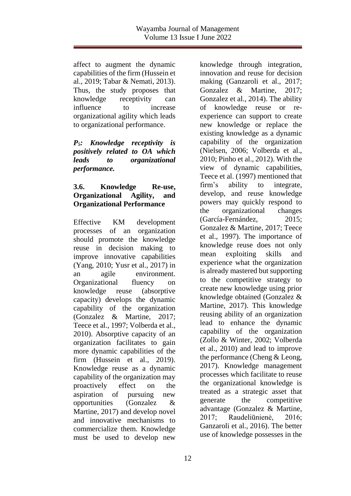affect to augment the dynamic capabilities of the firm (Hussein et al., 2019; Tabar & Nemati, 2013). Thus, the study proposes that knowledge receptivity can influence to increase organizational agility which leads to organizational performance.

### *P5: Knowledge receptivity is positively related to OA which leads to organizational performance.*

## **3.6. Knowledge Re-use, Organizational Agility, and Organizational Performance**

Effective KM development processes of an organization should promote the knowledge reuse in decision making to improve innovative capabilities (Yang, 2010; Yusr et al., 2017) in an agile environment. Organizational fluency on knowledge reuse (absorptive capacity) develops the dynamic capability of the organization (Gonzalez & Martine, 2017; Teece et al., 1997; Volberda et al., 2010). Absorptive capacity of an organization facilitates to gain more dynamic capabilities of the firm (Hussein et al., 2019). Knowledge reuse as a dynamic capability of the organization may proactively effect on the aspiration of pursuing new opportunities (Gonzalez & Martine, 2017) and develop novel and innovative mechanisms to commercialize them. Knowledge must be used to develop new

knowledge through integration, innovation and reuse for decision making (Ganzaroli et al., 2017; Gonzalez & Martine, 2017; Gonzalez et al., 2014). The ability of knowledge reuse or reexperience can support to create new knowledge or replace the existing knowledge as a dynamic capability of the organization (Nielsen, 2006; Volberda et al., 2010; Pinho et al., 2012). With the view of dynamic capabilities, Teece et al. (1997) mentioned that firm's ability to integrate, develop, and reuse knowledge powers may quickly respond to the organizational changes (García-Fernández, 2015; Gonzalez & Martine, 2017; Teece et al., 1997). The importance of knowledge reuse does not only mean exploiting skills and experience what the organization is already mastered but supporting to the competitive strategy to create new knowledge using prior knowledge obtained (Gonzalez & Martine, 2017). This knowledge reusing ability of an organization lead to enhance the dynamic capability of the organization (Zollo & Winter, 2002; Volberda et al., 2010) and lead to improve the performance (Cheng & Leong, 2017). Knowledge management processes which facilitate to reuse the organizational knowledge is treated as a strategic asset that generate the competitive advantage (Gonzalez & Martine, 2017; Raudeliūnienė, 2016; Ganzaroli et al., 2016). The better use of knowledge possesses in the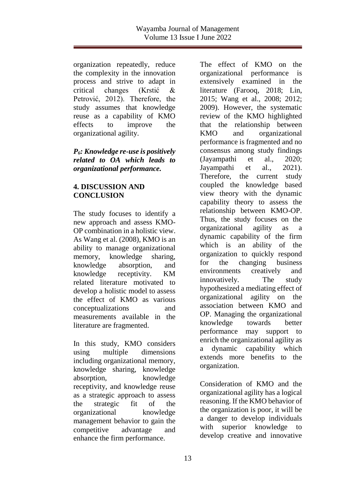organization repeatedly, reduce the complexity in the innovation process and strive to adapt in critical changes (Krstić & Petrović, 2012). Therefore, the study assumes that knowledge reuse as a capability of KMO effects to improve the organizational agility.

## *P6: Knowledge re-use is positively related to OA which leads to organizational performance.*

# **4. DISCUSSION AND CONCLUSION**

The study focuses to identify a new approach and assess KMO-OP combination in a holistic view. As Wang et al. (2008), KMO is an ability to manage organizational memory, knowledge sharing, knowledge absorption, and knowledge receptivity. KM related literature motivated to develop a holistic model to assess the effect of KMO as various conceptualizations and measurements available in the literature are fragmented.

In this study, KMO considers using multiple dimensions including organizational memory, knowledge sharing, knowledge absorption, knowledge receptivity, and knowledge reuse as a strategic approach to assess the strategic fit of the organizational knowledge management behavior to gain the competitive advantage and enhance the firm performance.

The effect of KMO on the organizational performance is extensively examined in the literature (Farooq, 2018; Lin, 2015; Wang et al., 2008; 2012; 2009). However, the systematic review of the KMO highlighted that the relationship between KMO and organizational performance is fragmented and no consensus among study findings (Jayampathi et al., 2020; Jayampathi et al., 2021). Therefore, the current study coupled the knowledge based view theory with the dynamic capability theory to assess the relationship between KMO-OP. Thus, the study focuses on the organizational agility as a dynamic capability of the firm which is an ability of the organization to quickly respond for the changing business environments creatively and innovatively. The study hypothesized a mediating effect of organizational agility on the association between KMO and OP. Managing the organizational knowledge towards better performance may support to enrich the organizational agility as a dynamic capability which extends more benefits to the organization.

Consideration of KMO and the organizational agility has a logical reasoning. If the KMO behavior of the organization is poor, it will be a danger to develop individuals with superior knowledge to develop creative and innovative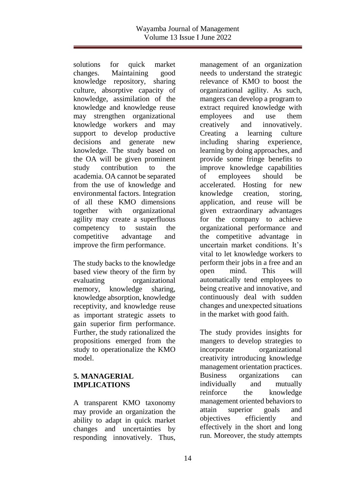solutions for quick market changes. Maintaining good knowledge repository, sharing culture, absorptive capacity of knowledge, assimilation of the knowledge and knowledge reuse may strengthen organizational knowledge workers and may support to develop productive decisions and generate new knowledge. The study based on the OA will be given prominent study contribution to the academia. OA cannot be separated from the use of knowledge and environmental factors. Integration of all these KMO dimensions together with organizational agility may create a superfluous competency to sustain the competitive advantage and improve the firm performance.

The study backs to the knowledge based view theory of the firm by evaluating organizational memory, knowledge sharing, knowledge absorption, knowledge receptivity, and knowledge reuse as important strategic assets to gain superior firm performance. Further, the study rationalized the propositions emerged from the study to operationalize the KMO model.

# **5. MANAGERIAL IMPLICATIONS**

A transparent KMO taxonomy may provide an organization the ability to adapt in quick market changes and uncertainties by responding innovatively. Thus, management of an organization needs to understand the strategic relevance of KMO to boost the organizational agility. As such, mangers can develop a program to extract required knowledge with employees and use them creatively and innovatively. Creating a learning culture including sharing experience, learning by doing approaches, and provide some fringe benefits to improve knowledge capabilities of employees should be accelerated. Hosting for new knowledge creation, storing, application, and reuse will be given extraordinary advantages for the company to achieve organizational performance and the competitive advantage in uncertain market conditions. It's vital to let knowledge workers to perform their jobs in a free and an open mind. This will automatically tend employees to being creative and innovative, and continuously deal with sudden changes and unexpected situations in the market with good faith.

The study provides insights for mangers to develop strategies to incorporate organizational creativity introducing knowledge management orientation practices. Business organizations can individually and mutually reinforce the knowledge management oriented behaviors to attain superior goals and objectives efficiently and effectively in the short and long run. Moreover, the study attempts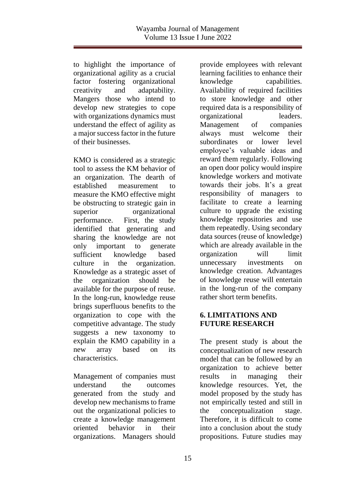to highlight the importance of organizational agility as a crucial factor fostering organizational creativity and adaptability. Mangers those who intend to develop new strategies to cope with organizations dynamics must understand the effect of agility as a major success factor in the future of their businesses.

KMO is considered as a strategic tool to assess the KM behavior of an organization. The dearth of established measurement to measure the KMO effective might be obstructing to strategic gain in superior organizational performance. First, the study identified that generating and sharing the knowledge are not only important to generate sufficient knowledge based culture in the organization. Knowledge as a strategic asset of the organization should be available for the purpose of reuse. In the long-run, knowledge reuse brings superfluous benefits to the organization to cope with the competitive advantage. The study suggests a new taxonomy to explain the KMO capability in a new array based on its characteristics.

Management of companies must understand the outcomes generated from the study and develop new mechanisms to frame out the organizational policies to create a knowledge management oriented behavior in their organizations. Managers should provide employees with relevant learning facilities to enhance their knowledge capabilities. Availability of required facilities to store knowledge and other required data is a responsibility of organizational leaders. Management of companies always must welcome their subordinates or lower level employee's valuable ideas and reward them regularly. Following an open door policy would inspire knowledge workers and motivate towards their jobs. It's a great responsibility of managers to facilitate to create a learning culture to upgrade the existing knowledge repositories and use them repeatedly. Using secondary data sources (reuse of knowledge) which are already available in the organization will limit unnecessary investments on knowledge creation. Advantages of knowledge reuse will entertain in the long-run of the company rather short term benefits.

# **6. LIMITATIONS AND FUTURE RESEARCH**

The present study is about the conceptualization of new research model that can be followed by an organization to achieve better results in managing their knowledge resources. Yet, the model proposed by the study has not empirically tested and still in the conceptualization stage. Therefore, it is difficult to come into a conclusion about the study propositions. Future studies may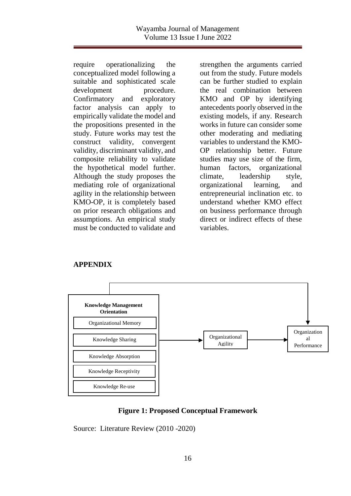require operationalizing the conceptualized model following a suitable and sophisticated scale development procedure. Confirmatory and exploratory factor analysis can apply to empirically validate the model and the propositions presented in the study. Future works may test the construct validity, convergent validity, discriminant validity, and composite reliability to validate the hypothetical model further. Although the study proposes the mediating role of organizational agility in the relationship between KMO-OP, it is completely based on prior research obligations and assumptions. An empirical study must be conducted to validate and

strengthen the arguments carried out from the study. Future models can be further studied to explain the real combination between KMO and OP by identifying antecedents poorly observed in the existing models, if any. Research works in future can consider some other moderating and mediating variables to understand the KMO-OP relationship better. Future studies may use size of the firm, human factors, organizational climate, leadership style, organizational learning, and entrepreneurial inclination etc. to understand whether KMO effect on business performance through direct or indirect effects of these variables.

#### **APPENDIX**



#### **Figure 1: Proposed Conceptual Framework**

Source: Literature Review (2010 -2020)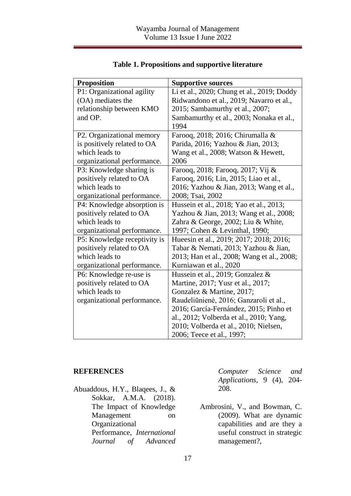| <b>Proposition</b>           | <b>Supportive sources</b>                  |
|------------------------------|--------------------------------------------|
| P1: Organizational agility   | Li et al., 2020; Chung et al., 2019; Doddy |
| (OA) mediates the            | Ridwandono et al., 2019; Navarro et al.,   |
| relationship between KMO     | 2015; Sambamurthy et al., 2007;            |
| and OP.                      | Sambamurthy et al., 2003; Nonaka et al.,   |
|                              | 1994                                       |
| P2. Organizational memory    | Farooq, 2018; 2016; Chirumalla &           |
| is positively related to OA  | Parida, 2016; Yazhou & Jian, 2013;         |
| which leads to               | Wang et al., 2008; Watson & Hewett,        |
| organizational performance.  | 2006                                       |
| P3: Knowledge sharing is     | Farooq, 2018; Farooq, 2017; Vij &          |
| positively related to OA     | Farooq, 2016; Lin, 2015; Liao et al.,      |
| which leads to               | 2016; Yazhou & Jian, 2013; Wang et al.,    |
| organizational performance.  | 2008; Tsai, 2002                           |
| P4: Knowledge absorption is  | Hussein et al., 2018; Yao et al., 2013;    |
| positively related to OA     | Yazhou & Jian, 2013; Wang et al., 2008;    |
| which leads to               | Zahra & George, 2002; Liu & White,         |
| organizational performance.  | 1997; Cohen & Levinthal, 1990;             |
| P5: Knowledge receptivity is | Hueesin et al., 2019; 2017; 2018; 2016;    |
| positively related to OA     | Tabar & Nemati, 2013; Yazhou & Jian,       |
| which leads to               | 2013; Han et al., 2008; Wang et al., 2008; |
| organizational performance.  | Kurniawan et al., 2020                     |
| P6: Knowledge re-use is      | Hussein et al., 2019; Gonzalez &           |
| positively related to OA     | Martine, 2017; Yusr et al., 2017;          |
| which leads to               | Gonzalez & Martine, 2017;                  |
| organizational performance.  | Raudeliūnienė, 2016; Ganzaroli et al.,     |
|                              | 2016; García-Fernández, 2015; Pinho et     |
|                              | al., 2012; Volberda et al., 2010; Yang,    |
|                              | 2010; Volberda et al., 2010; Nielsen,      |
|                              | 2006; Teece et al., 1997;                  |

# **Table 1. Propositions and supportive literature**

#### **REFERENCES**

Abuaddous, H.Y., Blaqees, J., & Sokkar, A.M.A. (2018). The Impact of Knowledge Management on Organizational Performance, *International Journal of Advanced* 

*Computer Science and Applications,* 9 (4), 204- 208.

Ambrosini, V., and Bowman, C. (2009). What are dynamic capabilities and are they a useful construct in strategic management?,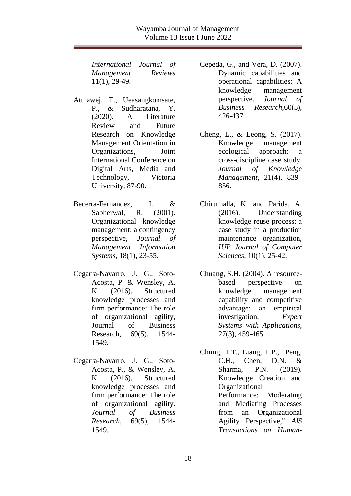*International Journal of Management Reviews* 11(1), 29-49.

- Atthawej, T., Ueasangkomsate, P., & Sudharatana, Y. (2020). A Literature Review and Future Research on Knowledge Management Orientation in Organizations, Joint International Conference on Digital Arts, Media and Technology, Victoria University, 87-90.
- Becerra-Fernandez, I. & Sabherwal, R. (2001). Organizational knowledge management: a contingency perspective, *Journal of Management Information Systems*, 18(1), 23-55.
- Cegarra-Navarro, J. G., Soto-Acosta, P. & Wensley, A. K. (2016). Structured knowledge processes and firm performance: The role of organizational agility, Journal of Business Research, 69(5), 1544- 1549.
- Cegarra-Navarro, J. G., Soto-Acosta, P., & Wensley, A. K. (2016). Structured knowledge processes and firm performance: The role of organizational agility. *Journal of Business Research*, 69(5), 1544- 1549.

Cepeda, G., and Vera, D. (2007). Dynamic capabilities and operational capabilities: A knowledge management perspective. *Journal of Business Research,*60(5), 426-437.

- Cheng, L., & Leong, S. (2017). Knowledge management ecological approach: a cross-discipline case study. *Journal of Knowledge Management*, 21(4), 839– 856.
- Chirumalla, K. and Parida, A. (2016). Understanding knowledge reuse process: a case study in a production maintenance organization, *IUP Journal of Computer Sciences*, 10(1), 25-42.
- Chuang, S.H. (2004). A resourcebased perspective on knowledge management capability and competitive advantage: an empirical investigation, *Expert Systems with Applications*, 27(3), 459-465.
- Chung, T.T., Liang, T.P., Peng, C.H., Chen, D.N. & Sharma, P.N. (2019). Knowledge Creation and Organizational Performance: Moderating and Mediating Processes from an Organizational Agility Perspective," *AIS Transactions on Human-*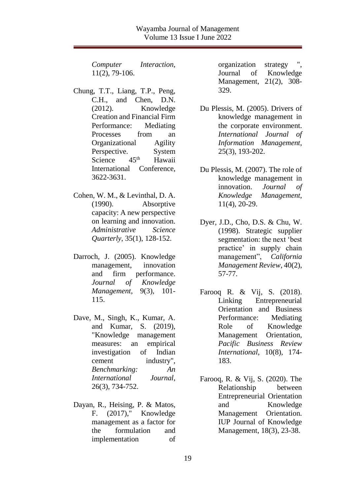*Computer Interaction*, 11(2), 79-106.

- Chung, T.T., Liang, T.P., Peng, C.H., and Chen, D.N. (2012). Knowledge Creation and Financial Firm Performance: Mediating Processes from an Organizational Agility Perspective. System<br>Science 45<sup>th</sup> Hawaii Science  $45<sup>th</sup>$  Hawaii International Conference, 3622-3631.
- Cohen, W. M., & Levinthal, D. A. (1990). Absorptive capacity: A new perspective on learning and innovation. *Administrative Science Quarterly*, 35(1), 128-152.
- Darroch, J. (2005). Knowledge management, innovation and firm performance. *Journal of Knowledge Management*, 9(3), 101- 115.
- Dave, M., Singh, K., Kumar, A. and Kumar, S. (2019), "Knowledge management measures: an empirical investigation of Indian cement industry", *Benchmarking: An International Journal*, 26(3), 734-752.
- Dayan, R., Heising, P. & Matos, F. (2017)," Knowledge management as a factor for the formulation and implementation of

organization strategy Journal of Knowledge Management, 21(2), 308- 329.

- Du Plessis, M. (2005). Drivers of knowledge management in the corporate environment. *International Journal of Information Management*, 25(3), 193-202.
- Du Plessis, M. (2007). The role of knowledge management in innovation. *Journal of Knowledge Management*, 11(4), 20-29.
- Dyer, J.D., Cho, D.S. & Chu, W. (1998). Strategic supplier segmentation: the next 'best practice' in supply chain management", *California Management Review*, 40(2), 57-77.
- Farooq R. & Vij, S. (2018). Linking Entrepreneurial Orientation and Business Performance: Mediating Role of Knowledge Management Orientation*, Pacific Business Review International,* 10(8), 174- 183.
- Farooq, R. & Vij, S. (2020). The Relationship between Entrepreneurial Orientation and Knowledge Management Orientation. IUP Journal of Knowledge Management, 18(3), 23-38.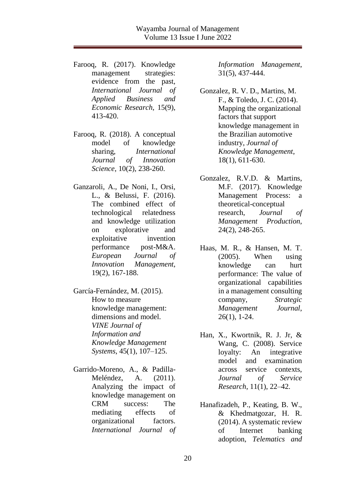- Farooq, R. (2017). Knowledge management strategies: evidence from the past, *International Journal of Applied Business and Economic Research*, 15(9), 413-420.
- Farooq, R. (2018). A conceptual model of knowledge sharing, *International Journal of Innovation Science*, 10(2), 238-260.
- Ganzaroli, A., De Noni, I., Orsi, L., & Belussi, F. (2016). The combined effect of technological relatedness and knowledge utilization on explorative and exploitative invention performance post-M&A. *European Journal of Innovation Management*, 19(2), 167-188.

García-Fernández, M. (2015). How to measure knowledge management: dimensions and model. *VINE Journal of Information and Knowledge Management Systems*, 45(1), 107–125.

Garrido-Moreno, A., & Padilla-Meléndez, A. (2011). Analyzing the impact of knowledge management on CRM success: The mediating effects of organizational factors. *International Journal of*  *Information Management*, 31(5), 437-444.

- Gonzalez, R. V. D., Martins, M. F., & Toledo, J. C. (2014). Mapping the organizational factors that support knowledge management in the Brazilian automotive industry, *Journal of Knowledge Management*, 18(1), 611-630.
- Gonzalez, R.V.D. & Martins, M.F. (2017). Knowledge Management Process: a theoretical-conceptual research, *Journal of Management Production*, 24(2), 248-265.
- Haas, M. R., & Hansen, M. T. (2005). When using knowledge can hurt performance: The value of organizational capabilities in a management consulting company, *Strategic Management Journal*, 26(1), 1-24.
- Han, X., Kwortnik, R. J. Jr, & Wang, C. (2008). Service loyalty: An integrative model and examination across service contexts, *Journal of Service Research*, 11(1), 22–42.
- Hanafizadeh, P., Keating, B. W., & Khedmatgozar, H. R. (2014). A systematic review of Internet banking adoption, *Telematics and*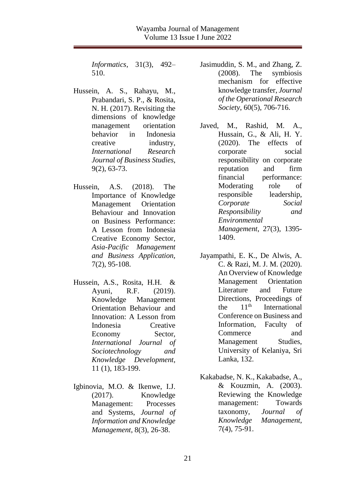*Informatics*, 31(3), 492– 510.

- Hussein, A. S., Rahayu, M., Prabandari, S. P., & Rosita, N. H. (2017). Revisiting the dimensions of knowledge management orientation behavior in Indonesia creative industry, *International Research Journal of Business Studies*, 9(2), 63-73.
- Hussein, A.S. (2018). The Importance of Knowledge Management Orientation Behaviour and Innovation on Business Performance: A Lesson from Indonesia Creative Economy Sector, *Asia-Pacific Management and Business Application,*  7(2), 95-108.
- Hussein, A.S., Rosita, H.H. & Ayuni, R.F. (2019). Knowledge Management Orientation Behaviour and Innovation: A Lesson from Indonesia Creative Economy Sector, *International Journal of Sociotechnology and Knowledge Development*, 11 (1), 183-199.
- Igbinovia, M.O. & Ikenwe, I.J. (2017). Knowledge Management: Processes and Systems, *Journal of Information and Knowledge Management*, 8(3), 26-38.

Jasimuddin, S. M., and Zhang, Z. (2008). The symbiosis mechanism for effective knowledge transfer, *Journal of the Operational Research Society*, 60(5), 706-716.

- Javed, M., Rashid, M. A., Hussain, G., & Ali, H. Y. (2020). The effects of corporate social responsibility on corporate reputation and firm financial performance: Moderating role of responsible leadership, *Corporate Social Responsibility and Environmental Management*, 27(3), 1395- 1409.
- Jayampathi, E. K., De Alwis, A. C. & Razi, M. J. M. (2020). An Overview of Knowledge Management Orientation Literature and Future Directions, Proceedings of the  $11<sup>th</sup>$  International Conference on Business and Information, Faculty of Commerce and Management Studies, University of Kelaniya, Sri Lanka, 132.
- Kakabadse, N. K., Kakabadse, A., & Kouzmin, A. (2003). Reviewing the Knowledge management: Towards taxonomy, *Journal of Knowledge Management*, 7(4), 75-91.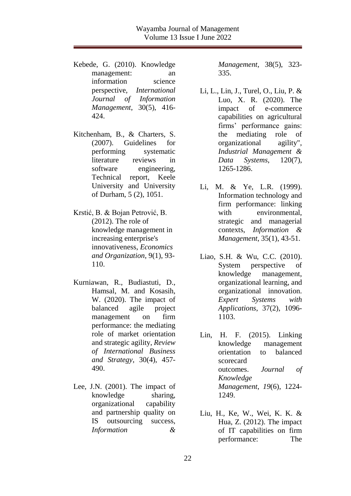Kebede, G. (2010). Knowledge management: an information science perspective, *International Journal of Information Management*, 30(5), 416- 424.

Kitchenham, B., & Charters, S. (2007). Guidelines for performing systematic literature reviews in software engineering, Technical report, Keele University and University of Durham, 5 (2), 1051.

- Krstić, B. & Bojan Petrović, B. (2012). The role of knowledge management in increasing enterprise's innovativeness, *Economics and Organization*, 9(1), 93- 110.
- Kurniawan, R., Budiastuti, D., Hamsal, M. and Kosasih, W. (2020). The impact of balanced agile project management on firm performance: the mediating role of market orientation and strategic agility, *Review of International Business and Strategy*, 30(4), 457- 490.
- Lee, J.N. (2001). The impact of knowledge sharing, organizational capability and partnership quality on IS outsourcing success, *Information &*

*Management*, 38(5), 323- 335.

- Li, L., Lin, J., Turel, O., Liu, P. & Luo, X. R. (2020). The impact of e-commerce capabilities on agricultural firms' performance gains: the mediating role of organizational agility", *Industrial Management & Data Systems*, 120(7), 1265-1286.
- Li, M. & Ye, L.R. (1999). Information technology and firm performance: linking with environmental, strategic and managerial contexts, *Information & Management*, 35(1), 43-51.
- Liao, S.H. & Wu, C.C. (2010). System perspective of knowledge management, organizational learning, and organizational innovation. *Expert Systems with Applications*, 37(2), 1096- 1103.
- Lin, H. F. (2015). Linking knowledge management orientation to balanced scorecard outcomes. *Journal of Knowledge Management*, *19*(6), 1224- 1249.
- Liu, H., Ke, W., Wei, K. K. & Hua, Z. (2012). The impact of IT capabilities on firm performance: The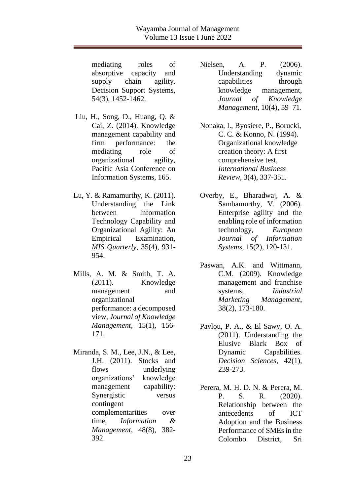mediating roles of absorptive capacity and supply chain agility. Decision Support Systems, 54(3), 1452-1462.

- Liu, H., Song, D., Huang, Q. & Cai, Z. (2014). Knowledge management capability and firm performance: the mediating role of organizational agility, Pacific Asia Conference on Information Systems, 165.
- Lu, Y. & Ramamurthy, K. (2011). Understanding the Link between Information Technology Capability and Organizational Agility: An Empirical Examination, *MIS Quarterly*, 35(4), 931- 954.
- Mills, A. M. & Smith, T. A. (2011). Knowledge management and organizational performance: a decomposed view, *Journal of Knowledge Management*, 15(1), 156- 171.
- Miranda, S. M., Lee, J.N., & Lee, J.H. (2011). Stocks and flows underlying organizations' knowledge management capability: Synergistic versus contingent complementarities over time, *Information & Management*, 48(8), 382- 392.
- Nielsen, A. P. (2006). Understanding dynamic capabilities through knowledge management, *Journal of Knowledge Management*, 10(4), 59–71.
- Nonaka, I., Byosiere, P., Borucki, C. C. & Konno, N. (1994). Organizational knowledge creation theory: A first comprehensive test, *International Business Review*, 3(4), 337-351.
- Overby, E., Bharadwaj, A. & Sambamurthy, V. (2006). Enterprise agility and the enabling role of information technology, *European Journal of Information Systems*, 15(2), 120-131.
- Paswan, A.K. and Wittmann, C.M. (2009). Knowledge management and franchise systems, *Industrial Marketing Management*, 38(2), 173-180.
- Pavlou, P. A., & El Sawy, O. A. (2011). Understanding the Elusive Black Box of Dynamic Capabilities. *Decision Sciences*, 42(1), 239-273.
- Perera, M. H. D. N. & Perera, M. P. S. R. (2020). Relationship between the antecedents of ICT Adoption and the Business Performance of SMEs in the Colombo District, Sri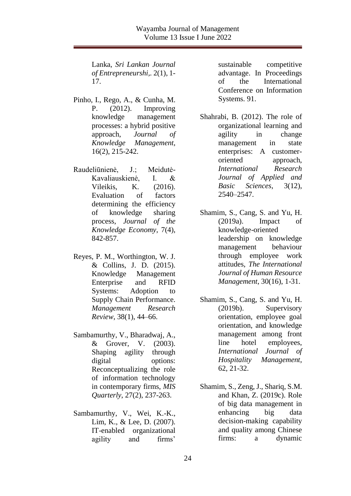Lanka, *Sri Lankan Journal of Entrepreneurshi,.* 2(1), 1- 17.

- Pinho, I., Rego, A., & Cunha, M. P. (2012). Improving knowledge management processes: a hybrid positive approach, *Journal of Knowledge Management*, 16(2), 215-242.
- Raudeliūnienė, J.; Meidutė-Kavaliauskienė, I. & Vileikis, K. (2016). Evaluation of factors determining the efficiency of knowledge sharing process, *Journal of the Knowledge Economy*, 7(4), 842-857.
- Reyes, P. M., Worthington, W. J. & Collins, J. D. (2015). Knowledge Management Enterprise and RFID Systems: Adoption to Supply Chain Performance. *Management Research Review*, 38(1), 44–66.
- Sambamurthy, V., Bharadwaj, A., & Grover, V. (2003). Shaping agility through digital options: Reconceptualizing the role of information technology in contemporary firms, *MIS Quarterly*, 27(2), 237-263.
- Sambamurthy, V., Wei, K.-K., Lim, K., & Lee, D. (2007). IT-enabled organizational agility and firms'

sustainable competitive advantage. In Proceedings of the International Conference on Information Systems. 91.

- Shahrabi, B. (2012). The role of organizational learning and agility in change management in state enterprises: A customeroriented approach, *International Research Journal of Applied and Basic Sciences*, 3(12), 2540–2547.
- Shamim, S., Cang, S. and Yu, H. (2019a). Impact of knowledge-oriented leadership on knowledge management behaviour through employee work attitudes, *The International Journal of Human Resource Management*, 30(16), 1-31.
- Shamim, S., Cang, S. and Yu, H. (2019b). Supervisory orientation, employee goal orientation, and knowledge management among front line hotel employees, *International Journal of Hospitality Management*, 62, 21-32.
- Shamim, S., Zeng, J., Shariq, S.M. and Khan, Z. (2019c). Role of big data management in enhancing big data decision-making capability and quality among Chinese firms: a dynamic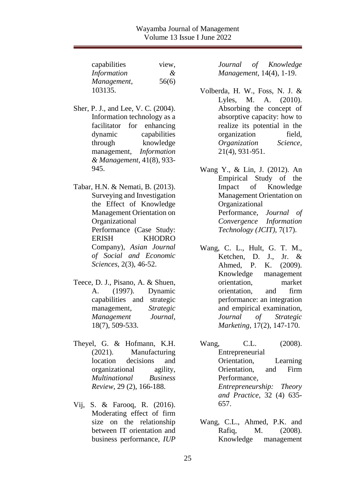| capabilities | view,         |
|--------------|---------------|
| Information  | $\mathcal{X}$ |
| Management,  | 56(6)         |
| 103135.      |               |

- Sher, P. J., and Lee, V. C. (2004). Information technology as a facilitator for enhancing dynamic capabilities through knowledge management, *Information & Management*, 41(8), 933- 945.
- Tabar, H.N. & Nemati, B. (2013). Surveying and Investigation the Effect of Knowledge Management Orientation on Organizational Performance (Case Study: ERISH KHODRO Company), *Asian Journal of Social and Economic Sciences*, 2(3), 46-52.
- Teece, D. J., Pisano, A. & Shuen, A. (1997). Dynamic capabilities and strategic management, *Strategic Management Journal*, 18(7), 509-533.
- Theyel, G. & Hofmann, K.H. (2021). Manufacturing location decisions and organizational agility, *Multinational Business Review*, 29 (2), 166-188.
- Vij, S. & Farooq, R. (2016). Moderating effect of firm size on the relationship between IT orientation and business performance, *IUP*

*Journal of Knowledge Management*, 14(4), 1-19.

- Volberda, H. W., Foss, N. J. & Lyles, M. A. (2010). Absorbing the concept of absorptive capacity: how to realize its potential in the organization field, *Organization Science*, 21(4), 931-951.
- Wang Y., & Lin, J. (2012). An Empirical Study of the Impact of Knowledge Management Orientation on Organizational Performance, *Journal of Convergence Information Technology (JCIT)*, 7(17).
- Wang, C. L., Hult, G. T. M., Ketchen, D. J., Jr. & Ahmed, P. K. (2009). Knowledge management orientation, market orientation, and firm performance: an integration and empirical examination, *Journal of Strategic Marketing*, 17(2), 147-170.
- Wang, C.L. (2008). **Entrepreneurial** Orientation, Learning Orientation, and Firm Performance*, Entrepreneurship: Theory and Practice*, 32 (4) 635- 657.
- Wang, C.L., Ahmed, P.K. and Rafiq, M. (2008). Knowledge management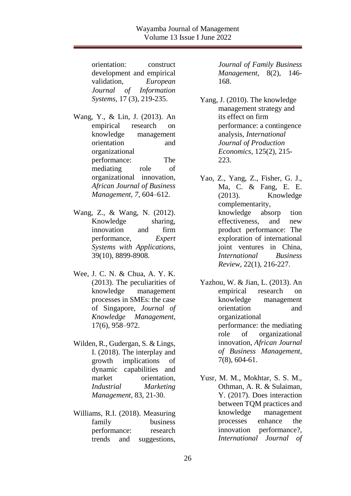orientation: construct development and empirical validation, *European Journal of Information Systems*, 17 (3), 219-235.

Wang, Y., & Lin, J. (2013). An empirical research on knowledge management orientation and organizational performance: The mediating role of organizational innovation, *African Journal of Business Management, 7*, 604–612.

- Wang, Z., & Wang, N. (2012). Knowledge sharing, innovation and firm performance, *Expert Systems with Applications*, 39(10), 8899-8908.
- Wee, J. C. N. & Chua, A. Y. K. (2013). The peculiarities of knowledge management processes in SMEs: the case of Singapore, *Journal of Knowledge Management*, 17(6), 958–972.
- Wilden, R., Gudergan, S. & Lings, I. (2018). The interplay and growth implications of dynamic capabilities and market orientation, *Industrial Marketing Management*, 83, 21-30.
- Williams, R.I. (2018). Measuring family business performance: research trends and suggestions,

*Journal of Family Business Management*, 8(2), 146- 168.

- Yang, J. (2010). The knowledge management strategy and its effect on firm performance: a contingence analysis, *International Journal of Production Economics*, 125(2), 215- 223.
- Yao, Z., Yang, Z., Fisher, G. J., Ma, C. & Fang, E. E. (2013). Knowledge complementarity, knowledge absorp tion effectiveness, and new product performance: The exploration of international joint ventures in China, *International Business Review*, 22(1), 216-227.
- Yazhou, W. & Jian, L. (2013). An empirical research on knowledge management orientation and organizational performance: the mediating role of organizational innovation, *African Journal of Business Management*, 7(8), 604-61.
- Yusr, M. M., Mokhtar, S. S. M., Othman, A. R. & Sulaiman, Y. (2017). Does interaction between TQM practices and knowledge management processes enhance the innovation performance?, *International Journal of*